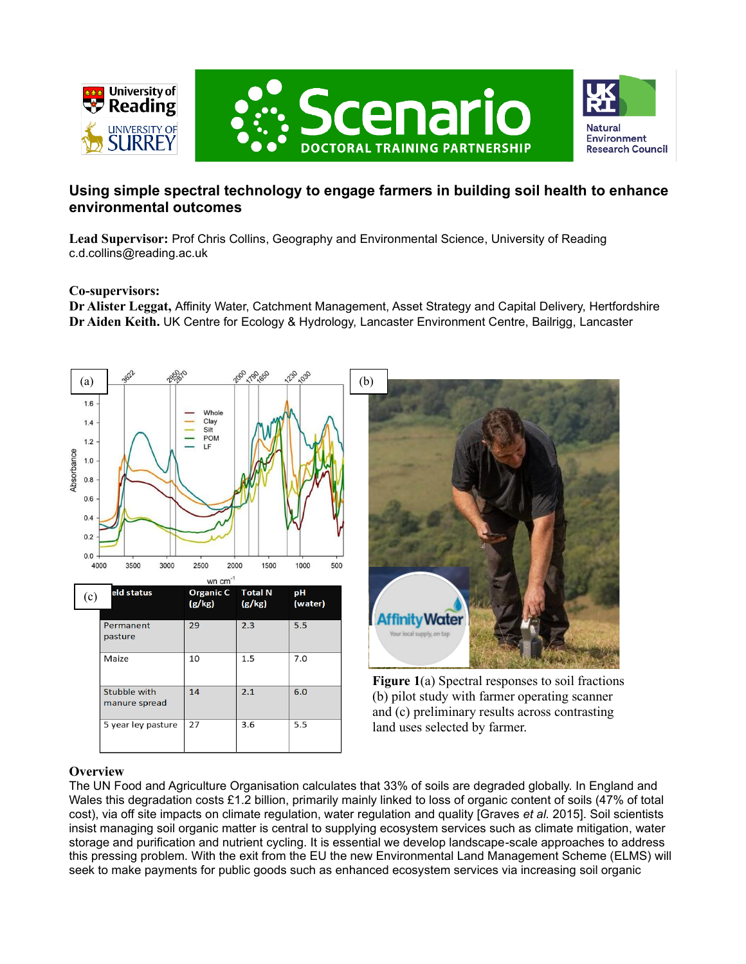

# **Using simple spectral technology to engage farmers in building soil health to enhance environmental outcomes**

**Lead Supervisor:** Prof Chris Collins, Geography and Environmental Science, University of Reading c.d.collins@reading.ac.uk

### **Co-supervisors:**

**Dr Alister Leggat,** Affinity Water, Catchment Management, Asset Strategy and Capital Delivery, Hertfordshire **Dr Aiden Keith.** UK Centre for Ecology & Hydrology, Lancaster Environment Centre, Bailrigg, Lancaster





**Figure 1**(a) Spectral responses to soil fractions (b) pilot study with farmer operating scanner and (c) preliminary results across contrasting land uses selected by farmer.

## **Overview**

The UN Food and Agriculture Organisation calculates that 33% of soils are degraded globally. In England and Wales this degradation costs £1.2 billion, primarily mainly linked to loss of organic content of soils (47% of total cost), via off site impacts on climate regulation, water regulation and quality [Graves *et al.* 2015]. Soil scientists insist managing soil organic matter is central to supplying ecosystem services such as climate mitigation, water storage and purification and nutrient cycling. It is essential we develop landscape-scale approaches to address this pressing problem. With the exit from the EU the new Environmental Land Management Scheme (ELMS) will seek to make payments for public goods such as enhanced ecosystem services via increasing soil organic